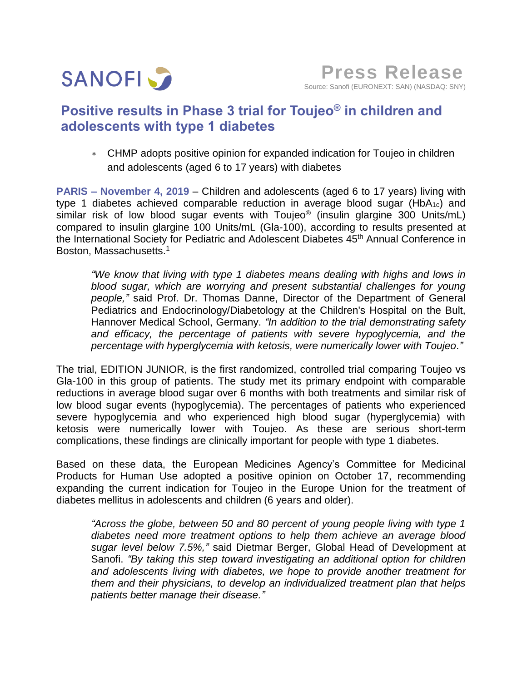

# **Positive results in Phase 3 trial for Toujeo® in children and adolescents with type 1 diabetes**

 CHMP adopts positive opinion for expanded indication for Toujeo in children and adolescents (aged 6 to 17 years) with diabetes

**PARIS – November 4, 2019** – Children and adolescents (aged 6 to 17 years) living with type 1 diabetes achieved comparable reduction in average blood sugar (HbA1c) and similar risk of low blood sugar events with Toujeo<sup>®</sup> (insulin glargine 300 Units/mL) compared to insulin glargine 100 Units/mL (Gla-100), according to results presented at the International Society for Pediatric and Adolescent Diabetes 45<sup>th</sup> Annual Conference in Boston, Massachusetts. 1

*"We know that living with type 1 diabetes means dealing with highs and lows in blood sugar, which are worrying and present substantial challenges for young people,"* said Prof. Dr. Thomas Danne, Director of the Department of General Pediatrics and Endocrinology/Diabetology at the Children's Hospital on the Bult, Hannover Medical School, Germany. *"In addition to the trial demonstrating safety and efficacy, the percentage of patients with severe hypoglycemia, and the percentage with hyperglycemia with ketosis, were numerically lower with Toujeo."*

The trial, EDITION JUNIOR, is the first randomized, controlled trial comparing Toujeo vs Gla-100 in this group of patients. The study met its primary endpoint with comparable reductions in average blood sugar over 6 months with both treatments and similar risk of low blood sugar events (hypoglycemia). The percentages of patients who experienced severe hypoglycemia and who experienced high blood sugar (hyperglycemia) with ketosis were numerically lower with Toujeo. As these are serious short-term complications, these findings are clinically important for people with type 1 diabetes.

Based on these data, the European Medicines Agency's Committee for Medicinal Products for Human Use adopted a positive opinion on October 17, recommending expanding the current indication for Toujeo in the Europe Union for the treatment of diabetes mellitus in adolescents and children (6 years and older).

*"Across the globe, between 50 and 80 percent of young people living with type 1 diabetes need more treatment options to help them achieve an average blood sugar level below 7.5%,"* said Dietmar Berger, Global Head of Development at Sanofi. *"By taking this step toward investigating an additional option for children and adolescents living with diabetes, we hope to provide another treatment for them and their physicians, to develop an individualized treatment plan that helps patients better manage their disease."*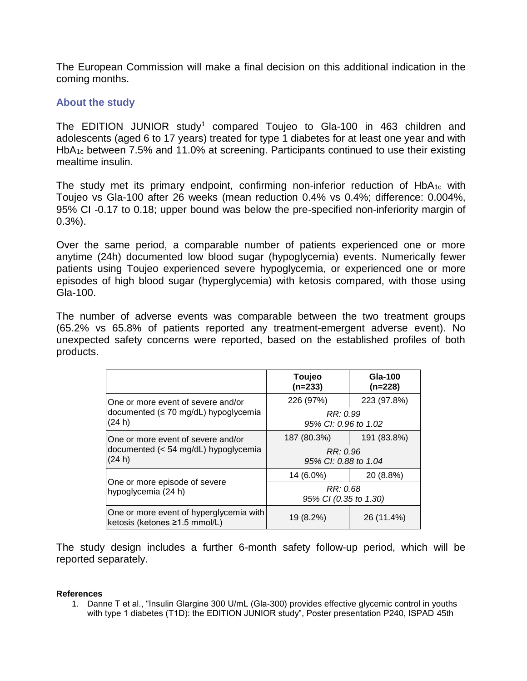The European Commission will make a final decision on this additional indication in the coming months.

## **About the study**

The EDITION JUNIOR study<sup>1</sup> compared Toujeo to Gla-100 in 463 children and adolescents (aged 6 to 17 years) treated for type 1 diabetes for at least one year and with HbA1c between 7.5% and 11.0% at screening. Participants continued to use their existing mealtime insulin.

The study met its primary endpoint, confirming non-inferior reduction of  $HbA_{1c}$  with Toujeo vs Gla-100 after 26 weeks (mean reduction 0.4% vs 0.4%; difference: 0.004%, 95% CI -0.17 to 0.18; upper bound was below the pre-specified non-inferiority margin of 0.3%).

Over the same period, a comparable number of patients experienced one or more anytime (24h) documented low blood sugar (hypoglycemia) events. Numerically fewer patients using Toujeo experienced severe hypoglycemia, or experienced one or more episodes of high blood sugar (hyperglycemia) with ketosis compared, with those using Gla-100.

The number of adverse events was comparable between the two treatment groups (65.2% vs 65.8% of patients reported any treatment-emergent adverse event). No unexpected safety concerns were reported, based on the established profiles of both products.

|                                                                                      | Toujeo<br>$(n=233)$               | Gla-100<br>$(n=228)$ |
|--------------------------------------------------------------------------------------|-----------------------------------|----------------------|
| One or more event of severe and/or<br>documented (≤ 70 mg/dL) hypoglycemia<br>(24 h) | 226 (97%)                         | 223 (97.8%)          |
|                                                                                      | RR: 0.99<br>95% CI: 0.96 to 1.02  |                      |
| One or more event of severe and/or<br>documented (< 54 mg/dL) hypoglycemia<br>(24 h) | 187 (80.3%)                       | 191 (83.8%)          |
|                                                                                      | RR: 0.96<br>95% CI: 0.88 to 1.04  |                      |
| One or more episode of severe<br>hypoglycemia (24 h)                                 | 14 (6.0%)                         | 20 (8.8%)            |
|                                                                                      | RR: 0.68<br>95% CI (0.35 to 1.30) |                      |
| One or more event of hyperglycemia with<br>ketosis (ketones ≥1.5 mmol/L)             | 19 (8.2%)                         | 26 (11.4%)           |

The study design includes a further 6-month safety follow-up period, which will be reported separately.

## **References**

1. Danne T et al., "Insulin Glargine 300 U/mL (Gla-300) provides effective glycemic control in youths with type 1 diabetes (T1D): the EDITION JUNIOR study", Poster presentation P240, ISPAD 45th